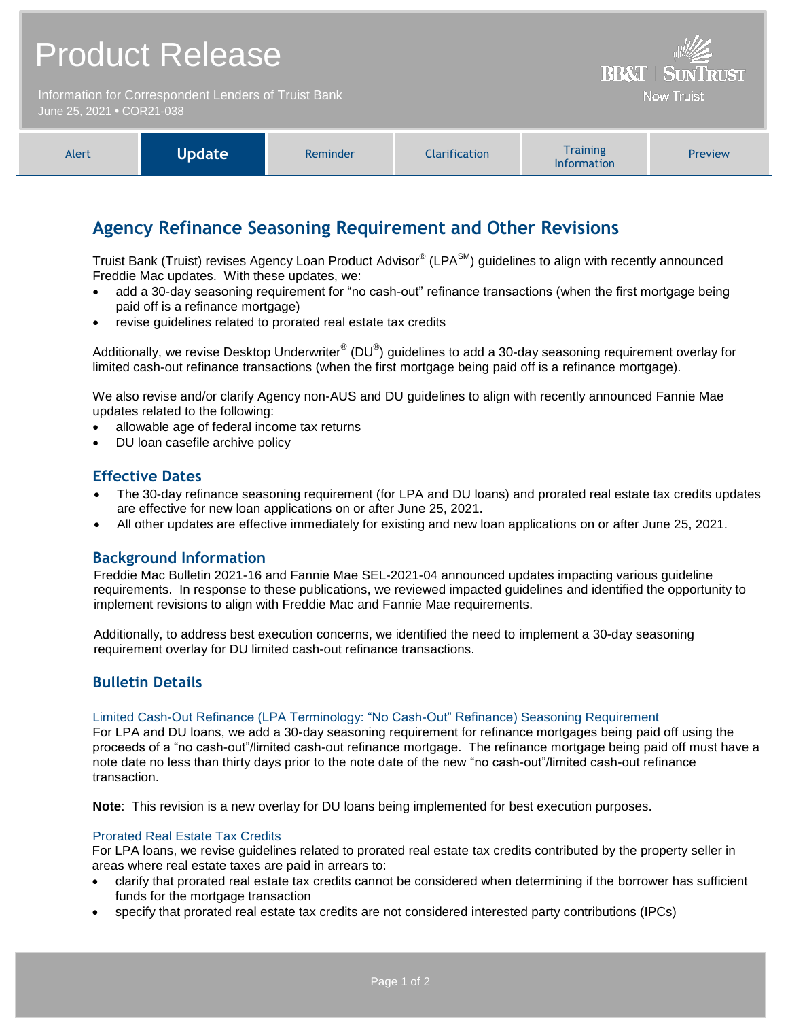## Product Release

Information for Correspondent Lenders of Truist Bank June 25, 2021 **•** COR21-038

| <b>Training</b><br>Update<br><b>Alert</b><br><b>Clarification</b><br>Preview<br><b>Reminder</b><br><b>Information</b> |
|-----------------------------------------------------------------------------------------------------------------------|
|-----------------------------------------------------------------------------------------------------------------------|

**BB&T | SUNTRUST Now Truist** 

## **Agency Refinance Seasoning Requirement and Other Revisions**

Truist Bank (Truist) revises Agency Loan Product Advisor® (LPA<sup>SM</sup>) guidelines to align with recently announced Freddie Mac updates. With these updates, we:

- add a 30-day seasoning requirement for "no cash-out" refinance transactions (when the first mortgage being paid off is a refinance mortgage)
- revise guidelines related to prorated real estate tax credits

Additionally, we revise Desktop Underwriter $^{\circledast}$  (DU $^{\circledast}$ ) guidelines to add a 30-day seasoning requirement overlay for limited cash-out refinance transactions (when the first mortgage being paid off is a refinance mortgage).

We also revise and/or clarify Agency non-AUS and DU guidelines to align with recently announced Fannie Mae updates related to the following:

- allowable age of federal income tax returns
- DU loan casefile archive policy

## **Effective Dates**

- The 30-day refinance seasoning requirement (for LPA and DU loans) and prorated real estate tax credits updates are effective for new loan applications on or after June 25, 2021.
- All other updates are effective immediately for existing and new loan applications on or after June 25, 2021.

## **Background Information**

Freddie Mac Bulletin 2021-16 and Fannie Mae SEL-2021-04 announced updates impacting various guideline requirements. In response to these publications, we reviewed impacted guidelines and identified the opportunity to implement revisions to align with Freddie Mac and Fannie Mae requirements.

Additionally, to address best execution concerns, we identified the need to implement a 30-day seasoning requirement overlay for DU limited cash-out refinance transactions.

## **Bulletin Details**

### Limited Cash-Out Refinance (LPA Terminology: "No Cash-Out" Refinance) Seasoning Requirement

For LPA and DU loans, we add a 30-day seasoning requirement for refinance mortgages being paid off using the proceeds of a "no cash-out"/limited cash-out refinance mortgage. The refinance mortgage being paid off must have a note date no less than thirty days prior to the note date of the new "no cash-out"/limited cash-out refinance transaction.

**Note**: This revision is a new overlay for DU loans being implemented for best execution purposes.

### Prorated Real Estate Tax Credits

For LPA loans, we revise guidelines related to prorated real estate tax credits contributed by the property seller in areas where real estate taxes are paid in arrears to:

- clarify that prorated real estate tax credits cannot be considered when determining if the borrower has sufficient funds for the mortgage transaction
- specify that prorated real estate tax credits are not considered interested party contributions (IPCs)